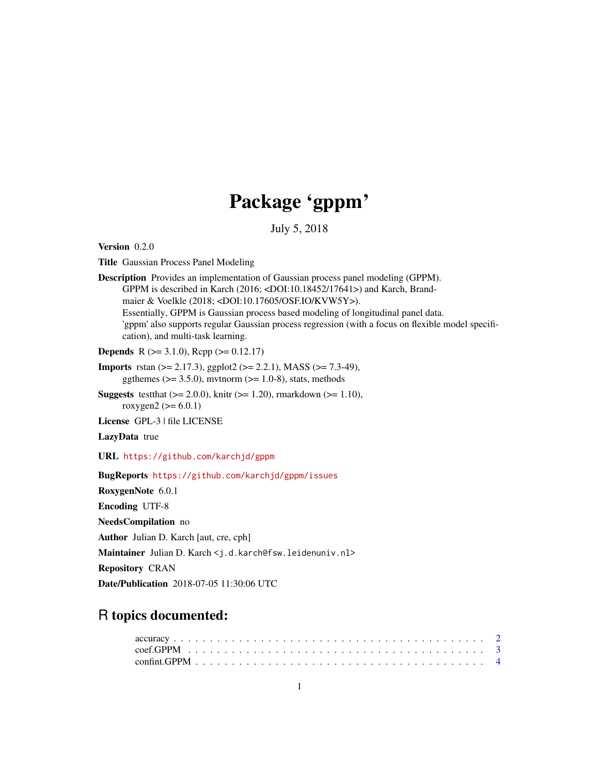# Package 'gppm'

July 5, 2018

<span id="page-0-0"></span>Version 0.2.0

Title Gaussian Process Panel Modeling

Description Provides an implementation of Gaussian process panel modeling (GPPM). GPPM is described in Karch (2016; <DOI:10.18452/17641>) and Karch, Brandmaier & Voelkle (2018; <DOI:10.17605/OSF.IO/KVW5Y>). Essentially, GPPM is Gaussian process based modeling of longitudinal panel data. 'gppm' also supports regular Gaussian process regression (with a focus on flexible model specification), and multi-task learning.

**Depends** R ( $>= 3.1.0$ ), Rcpp ( $>= 0.12.17$ )

- Imports rstan (>= 2.17.3), ggplot2 (>= 2.2.1), MASS (>= 7.3-49), ggthemes ( $>= 3.5.0$ ), mvtnorm ( $>= 1.0-8$ ), stats, methods
- **Suggests** test that  $(>= 2.0.0)$ , knitr  $(>= 1.20)$ , rmarkdown  $(>= 1.10)$ , roxygen2 ( $>= 6.0.1$ )

License GPL-3 | file LICENSE

LazyData true

URL <https://github.com/karchjd/gppm>

BugReports <https://github.com/karchjd/gppm/issues>

RoxygenNote 6.0.1

Encoding UTF-8

NeedsCompilation no

Author Julian D. Karch [aut, cre, cph]

Maintainer Julian D. Karch <j.d.karch@fsw.leidenuniv.nl>

Repository CRAN

Date/Publication 2018-07-05 11:30:06 UTC

## R topics documented: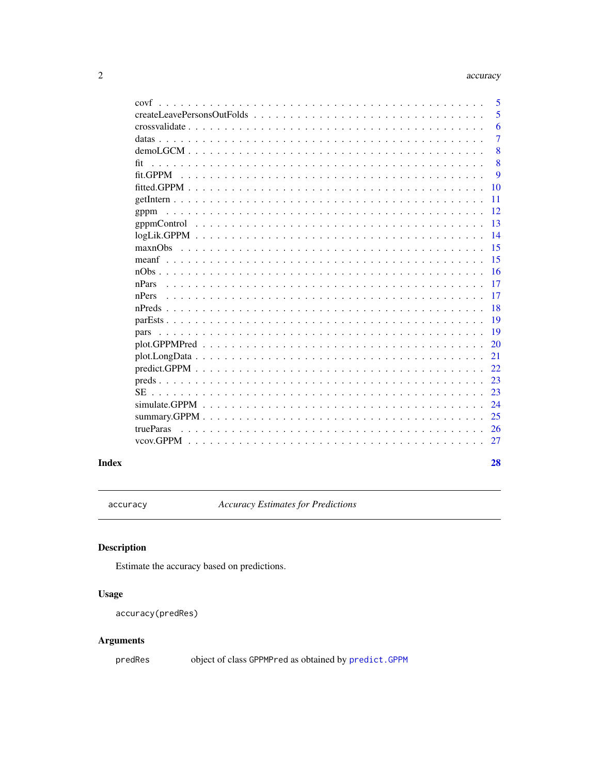28

<span id="page-1-0"></span>

| createLeavePersonsOutFolds<br>5<br>6<br>7<br>8<br>8<br>fit<br>fit.GPPM<br>9<br>10<br>11<br>12<br>gppm<br>13<br>14<br>15<br>15<br>16<br>17<br>nPars<br>17<br>nPers<br>18<br>19<br>19<br>20<br>21<br>22.<br>23<br>23<br><b>SE</b><br>24<br>25<br>trueParas<br>26<br>27 | covf | 5 |
|----------------------------------------------------------------------------------------------------------------------------------------------------------------------------------------------------------------------------------------------------------------------|------|---|
|                                                                                                                                                                                                                                                                      |      |   |
|                                                                                                                                                                                                                                                                      |      |   |
|                                                                                                                                                                                                                                                                      |      |   |
|                                                                                                                                                                                                                                                                      |      |   |
|                                                                                                                                                                                                                                                                      |      |   |
|                                                                                                                                                                                                                                                                      |      |   |
|                                                                                                                                                                                                                                                                      |      |   |
|                                                                                                                                                                                                                                                                      |      |   |
|                                                                                                                                                                                                                                                                      |      |   |
|                                                                                                                                                                                                                                                                      |      |   |
|                                                                                                                                                                                                                                                                      |      |   |
|                                                                                                                                                                                                                                                                      |      |   |
|                                                                                                                                                                                                                                                                      |      |   |
|                                                                                                                                                                                                                                                                      |      |   |
|                                                                                                                                                                                                                                                                      |      |   |
|                                                                                                                                                                                                                                                                      |      |   |
|                                                                                                                                                                                                                                                                      |      |   |
|                                                                                                                                                                                                                                                                      |      |   |
|                                                                                                                                                                                                                                                                      |      |   |
|                                                                                                                                                                                                                                                                      |      |   |
|                                                                                                                                                                                                                                                                      |      |   |
|                                                                                                                                                                                                                                                                      |      |   |
|                                                                                                                                                                                                                                                                      |      |   |
|                                                                                                                                                                                                                                                                      |      |   |
|                                                                                                                                                                                                                                                                      |      |   |
|                                                                                                                                                                                                                                                                      |      |   |
|                                                                                                                                                                                                                                                                      |      |   |
|                                                                                                                                                                                                                                                                      |      |   |

## **Index**

accuracy

**Accuracy Estimates for Predictions** 

## Description

Estimate the accuracy based on predictions.

## **Usage**

accuracy(predRes)

## **Arguments**

predRes

object of class GPPMPred as obtained by predict. GPPM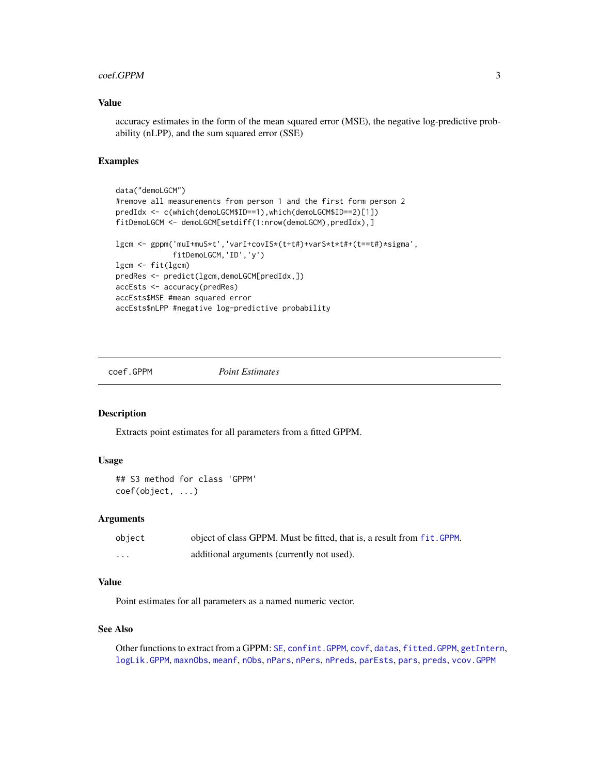#### <span id="page-2-0"></span>coef.GPPM 3

#### Value

accuracy estimates in the form of the mean squared error (MSE), the negative log-predictive probability (nLPP), and the sum squared error (SSE)

## Examples

```
data("demoLGCM")
#remove all measurements from person 1 and the first form person 2
predIdx <- c(which(demoLGCM$ID==1),which(demoLGCM$ID==2)[1])
fitDemoLGCM <- demoLGCM[setdiff(1:nrow(demoLGCM),predIdx),]
lgcm <- gppm('muI+muS*t','varI+covIS*(t+t#)+varS*t*t#+(t==t#)*sigma',
             fitDemoLGCM,'ID','y')
lgcm <- fit(lgcm)
predRes <- predict(lgcm,demoLGCM[predIdx,])
accEsts <- accuracy(predRes)
accEsts$MSE #mean squared error
accEsts$nLPP #negative log-predictive probability
```
<span id="page-2-1"></span>

coef.GPPM *Point Estimates*

## Description

Extracts point estimates for all parameters from a fitted GPPM.

### Usage

```
## S3 method for class 'GPPM'
coef(object, ...)
```
#### Arguments

| object   | object of class GPPM. Must be fitted, that is, a result from fit. GPPM. |
|----------|-------------------------------------------------------------------------|
| $\cdots$ | additional arguments (currently not used).                              |

## Value

Point estimates for all parameters as a named numeric vector.

#### See Also

Other functions to extract from a GPPM: [SE](#page-22-1), [confint.GPPM](#page-3-1), [covf](#page-4-1), [datas](#page-6-1), [fitted.GPPM](#page-9-1), [getIntern](#page-10-1), [logLik.GPPM](#page-13-1), [maxnObs](#page-14-1), [meanf](#page-14-2), [nObs](#page-15-1), [nPars](#page-16-1), [nPers](#page-16-2), [nPreds](#page-17-1), [parEsts](#page-18-1), [pars](#page-18-2), [preds](#page-22-2), [vcov.GPPM](#page-26-1)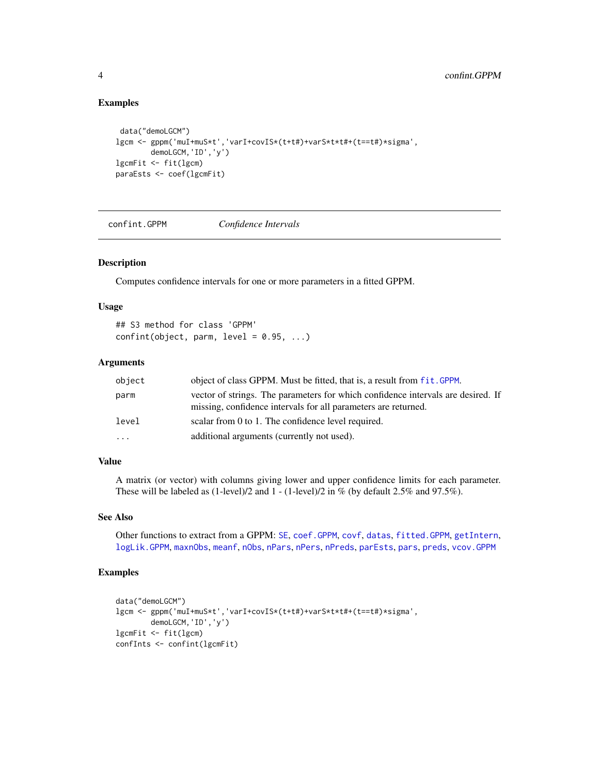## Examples

```
data("demoLGCM")
lgcm <- gppm('muI+muS*t','varI+covIS*(t+t#)+varS*t*t#+(t==t#)*sigma',
       demoLGCM,'ID','y')
lgcmFit <- fit(lgcm)
paraEsts <- coef(lgcmFit)
```
<span id="page-3-1"></span>confint.GPPM *Confidence Intervals*

## Description

Computes confidence intervals for one or more parameters in a fitted GPPM.

#### Usage

```
## S3 method for class 'GPPM'
confint(object, parm, level = 0.95, ...)
```
## Arguments

| object   | object of class GPPM. Must be fitted, that is, a result from fit. GPPM.                                                                            |
|----------|----------------------------------------------------------------------------------------------------------------------------------------------------|
| parm     | vector of strings. The parameters for which confidence intervals are desired. If<br>missing, confidence intervals for all parameters are returned. |
| level    | scalar from 0 to 1. The confidence level required.                                                                                                 |
| $\cdots$ | additional arguments (currently not used).                                                                                                         |

## Value

A matrix (or vector) with columns giving lower and upper confidence limits for each parameter. These will be labeled as (1-level)/2 and 1 - (1-level)/2 in % (by default 2.5% and 97.5%).

#### See Also

Other functions to extract from a GPPM: [SE](#page-22-1), [coef.GPPM](#page-2-1), [covf](#page-4-1), [datas](#page-6-1), [fitted.GPPM](#page-9-1), [getIntern](#page-10-1), [logLik.GPPM](#page-13-1), [maxnObs](#page-14-1), [meanf](#page-14-2), [nObs](#page-15-1), [nPars](#page-16-1), [nPers](#page-16-2), [nPreds](#page-17-1), [parEsts](#page-18-1), [pars](#page-18-2), [preds](#page-22-2), [vcov.GPPM](#page-26-1)

```
data("demoLGCM")
lgcm <- gppm('muI+muS*t','varI+covIS*(t+t#)+varS*t*t#+(t==t#)*sigma',
       demoLGCM,'ID','y')
lgcmFit <- fit(lgcm)
confInts <- confint(lgcmFit)
```
<span id="page-3-0"></span>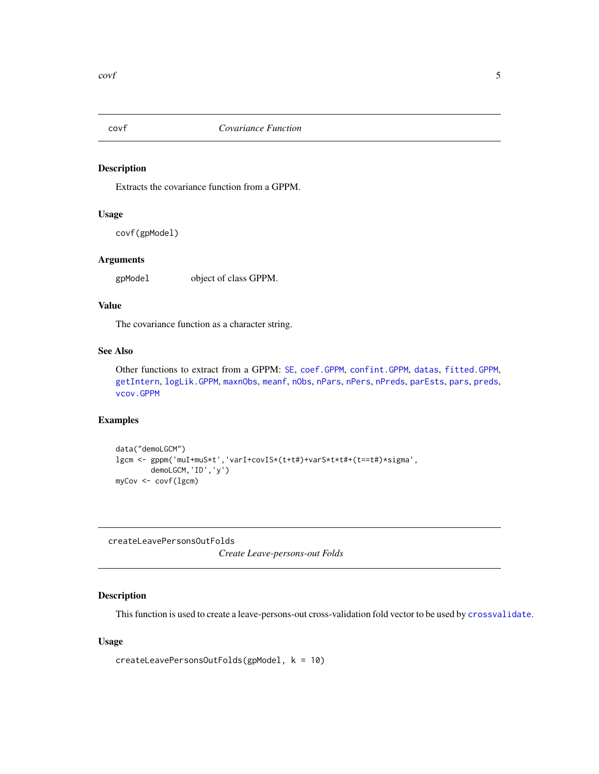<span id="page-4-1"></span><span id="page-4-0"></span>

Extracts the covariance function from a GPPM.

## Usage

covf(gpModel)

#### Arguments

gpModel object of class GPPM.

## Value

The covariance function as a character string.

## See Also

Other functions to extract from a GPPM: [SE](#page-22-1), [coef.GPPM](#page-2-1), [confint.GPPM](#page-3-1), [datas](#page-6-1), [fitted.GPPM](#page-9-1), [getIntern](#page-10-1), [logLik.GPPM](#page-13-1), [maxnObs](#page-14-1), [meanf](#page-14-2), [nObs](#page-15-1), [nPars](#page-16-1), [nPers](#page-16-2), [nPreds](#page-17-1), [parEsts](#page-18-1), [pars](#page-18-2), [preds](#page-22-2), [vcov.GPPM](#page-26-1)

#### Examples

```
data("demoLGCM")
lgcm <- gppm('muI+muS*t','varI+covIS*(t+t#)+varS*t*t#+(t==t#)*sigma',
       demoLGCM,'ID','y')
myCov <- covf(lgcm)
```
<span id="page-4-2"></span>createLeavePersonsOutFolds

*Create Leave-persons-out Folds*

## Description

This function is used to create a leave-persons-out cross-validation fold vector to be used by [crossvalidate](#page-5-1).

## Usage

```
createLeavePersonsOutFolds(gpModel, k = 10)
```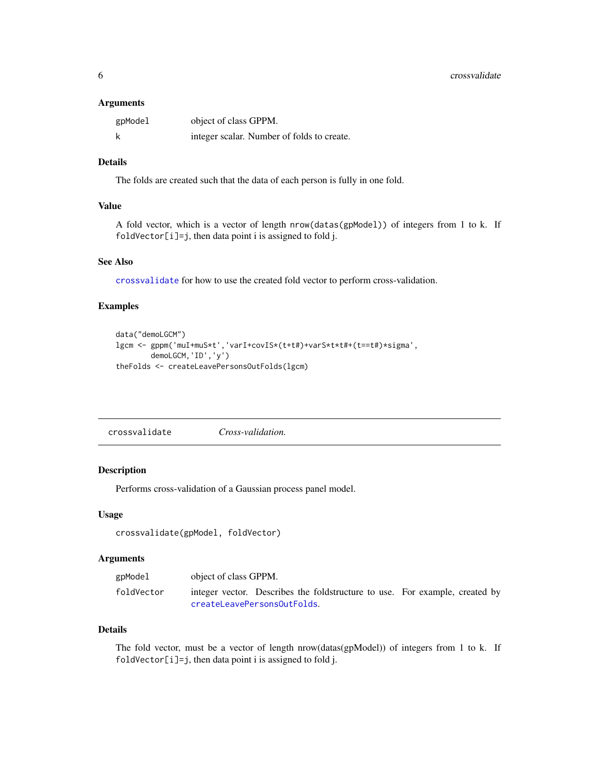#### <span id="page-5-0"></span>Arguments

| gpModel | object of class GPPM.                      |
|---------|--------------------------------------------|
| k       | integer scalar. Number of folds to create. |

## Details

The folds are created such that the data of each person is fully in one fold.

#### Value

A fold vector, which is a vector of length nrow(datas(gpModel)) of integers from 1 to k. If foldVector[i]=j, then data point i is assigned to fold j.

#### See Also

[crossvalidate](#page-5-1) for how to use the created fold vector to perform cross-validation.

## Examples

```
data("demoLGCM")
lgcm <- gppm('muI+muS*t','varI+covIS*(t+t#)+varS*t*t#+(t==t#)*sigma',
        demoLGCM,'ID','y')
theFolds <- createLeavePersonsOutFolds(lgcm)
```
<span id="page-5-1"></span>

| crossvalidate | Cross-validation. |
|---------------|-------------------|
|---------------|-------------------|

#### Description

Performs cross-validation of a Gaussian process panel model.

#### Usage

```
crossvalidate(gpModel, foldVector)
```
## Arguments

| gpModel    | object of class GPPM. |                                                                             |  |  |  |  |
|------------|-----------------------|-----------------------------------------------------------------------------|--|--|--|--|
| foldVector |                       | integer vector. Describes the foldstructure to use. For example, created by |  |  |  |  |
|            |                       | createLeavePersonsOutFolds.                                                 |  |  |  |  |

## Details

The fold vector, must be a vector of length nrow(datas(gpModel)) of integers from 1 to k. If foldVector[i]=j, then data point i is assigned to fold j.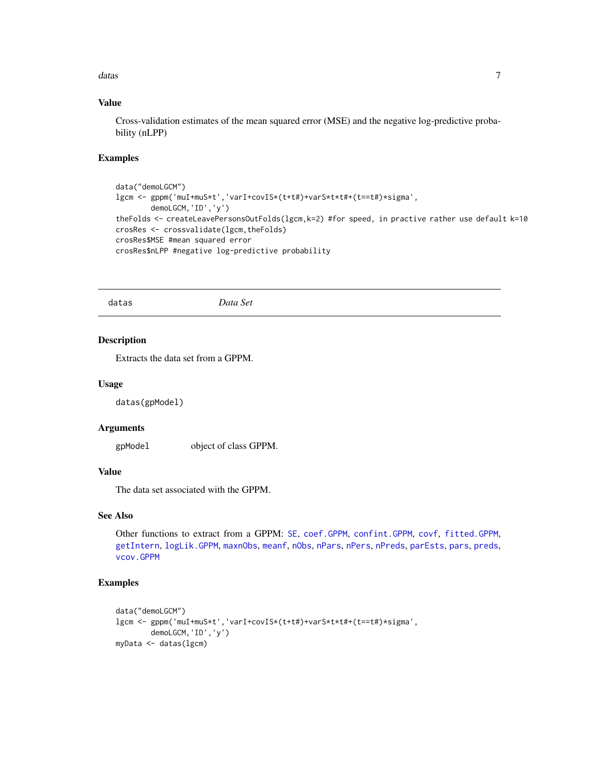<span id="page-6-0"></span>datas **7** and 3 and 3 and 3 and 3 and 3 and 3 and 3 and 3 and 3 and 3 and 3 and 3 and 3 and 3 and 3 and 3 and 3 and 3 and 3 and 3 and 3 and 3 and 3 and 3 and 3 and 3 and 3 and 3 and 3 and 3 and 3 and 3 and 3 and 3 and 3 an

## Value

Cross-validation estimates of the mean squared error (MSE) and the negative log-predictive probability (nLPP)

#### Examples

```
data("demoLGCM")
lgcm <- gppm('muI+muS*t','varI+covIS*(t+t#)+varS*t*t#+(t==t#)*sigma',
        demoLGCM,'ID','y')
theFolds <- createLeavePersonsOutFolds(lgcm,k=2) #for speed, in practive rather use default k=10
crosRes <- crossvalidate(lgcm,theFolds)
crosRes$MSE #mean squared error
crosRes$nLPP #negative log-predictive probability
```
<span id="page-6-1"></span>datas *Data Set*

## Description

Extracts the data set from a GPPM.

#### Usage

datas(gpModel)

#### Arguments

gpModel object of class GPPM.

#### Value

The data set associated with the GPPM.

## See Also

Other functions to extract from a GPPM: [SE](#page-22-1), [coef.GPPM](#page-2-1), [confint.GPPM](#page-3-1), [covf](#page-4-1), [fitted.GPPM](#page-9-1), [getIntern](#page-10-1), [logLik.GPPM](#page-13-1), [maxnObs](#page-14-1), [meanf](#page-14-2), [nObs](#page-15-1), [nPars](#page-16-1), [nPers](#page-16-2), [nPreds](#page-17-1), [parEsts](#page-18-1), [pars](#page-18-2), [preds](#page-22-2), [vcov.GPPM](#page-26-1)

```
data("demoLGCM")
lgcm <- gppm('muI+muS*t','varI+covIS*(t+t#)+varS*t*t#+(t==t#)*sigma',
       demoLGCM,'ID','y')
myData <- datas(lgcm)
```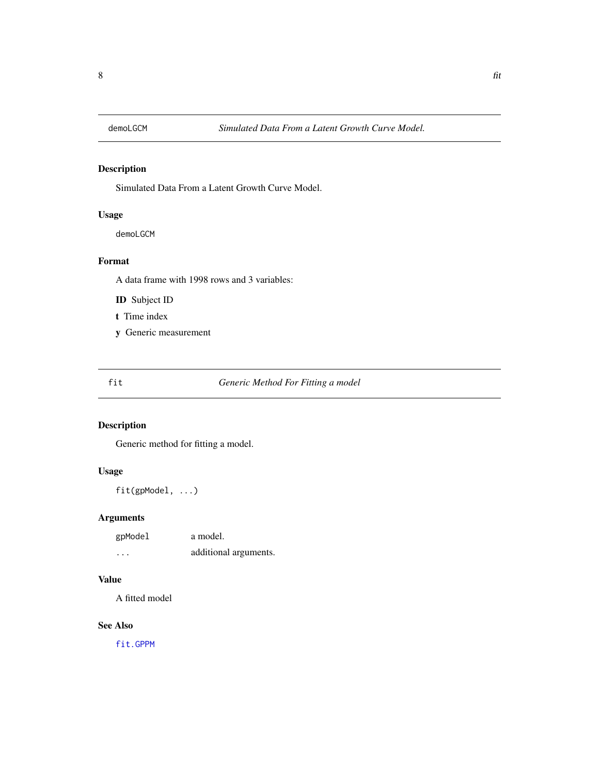<span id="page-7-1"></span><span id="page-7-0"></span>

Simulated Data From a Latent Growth Curve Model.

## Usage

demoLGCM

## Format

A data frame with 1998 rows and 3 variables:

ID Subject ID

- t Time index
- y Generic measurement

fit *Generic Method For Fitting a model*

## Description

Generic method for fitting a model.

#### Usage

fit(gpModel, ...)

## Arguments

| gpModel  | a model.              |
|----------|-----------------------|
| $\cdots$ | additional arguments. |

## Value

A fitted model

## See Also

[fit.GPPM](#page-8-1)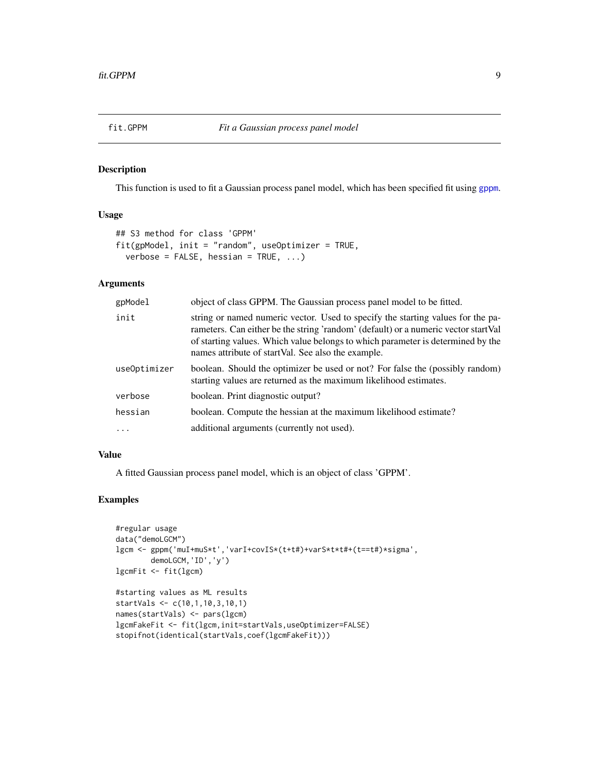<span id="page-8-1"></span><span id="page-8-0"></span>

This function is used to fit a Gaussian process panel model, which has been specified fit using [gppm](#page-11-1).

## Usage

```
## S3 method for class 'GPPM'
fit(gpModel, init = "random", useOptimizer = TRUE,
  verbose = FALSE, hessian = TRUE, ...)
```
## Arguments

| gpModel      | object of class GPPM. The Gaussian process panel model to be fitted.                                                                                                                                                                                                                                            |
|--------------|-----------------------------------------------------------------------------------------------------------------------------------------------------------------------------------------------------------------------------------------------------------------------------------------------------------------|
| init         | string or named numeric vector. Used to specify the starting values for the pa-<br>rameters. Can either be the string 'random' (default) or a numeric vector start Val<br>of starting values. Which value belongs to which parameter is determined by the<br>names attribute of startVal. See also the example. |
| useOptimizer | boolean. Should the optimizer be used or not? For false the (possibly random)<br>starting values are returned as the maximum likelihood estimates.                                                                                                                                                              |
| verbose      | boolean. Print diagnostic output?                                                                                                                                                                                                                                                                               |
| hessian      | boolean. Compute the hessian at the maximum likelihood estimate?                                                                                                                                                                                                                                                |
| $\ddots$     | additional arguments (currently not used).                                                                                                                                                                                                                                                                      |

## Value

A fitted Gaussian process panel model, which is an object of class 'GPPM'.

```
#regular usage
data("demoLGCM")
lgcm <- gppm('muI+muS*t','varI+covIS*(t+t#)+varS*t*t#+(t==t#)*sigma',
       demoLGCM,'ID','y')
lgcmFit <- fit(lgcm)
#starting values as ML results
startVals <- c(10,1,10,3,10,1)
names(startVals) <- pars(lgcm)
lgcmFakeFit <- fit(lgcm,init=startVals,useOptimizer=FALSE)
stopifnot(identical(startVals,coef(lgcmFakeFit)))
```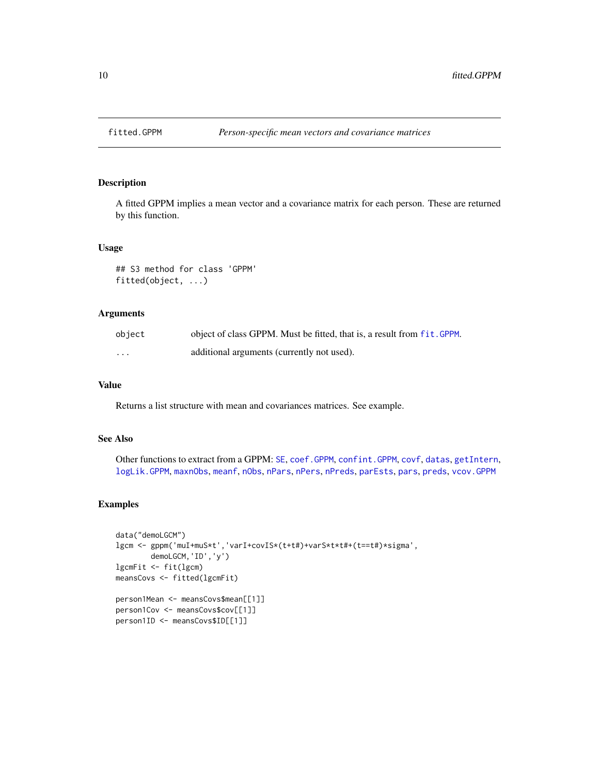<span id="page-9-1"></span><span id="page-9-0"></span>

A fitted GPPM implies a mean vector and a covariance matrix for each person. These are returned by this function.

#### Usage

## S3 method for class 'GPPM' fitted(object, ...)

## Arguments

| object | object of class GPPM. Must be fitted, that is, a result from fit. GPPM. |
|--------|-------------------------------------------------------------------------|
| .      | additional arguments (currently not used).                              |

## Value

Returns a list structure with mean and covariances matrices. See example.

#### See Also

```
Other functions to extract from a GPPM: SE, coef.GPPM, confint.GPPM, covf, datas, getIntern,
logLik.GPPM, maxnObs, meanf, nObs, nPars, nPers, nPreds, parEsts, pars, preds, vcov.GPPM
```

```
data("demoLGCM")
lgcm <- gppm('muI+muS*t','varI+covIS*(t+t#)+varS*t*t#+(t==t#)*sigma',
       demoLGCM,'ID','y')
lgcmFit <- fit(lgcm)
meansCovs <- fitted(lgcmFit)
person1Mean <- meansCovs$mean[[1]]
person1Cov <- meansCovs$cov[[1]]
person1ID <- meansCovs$ID[[1]]
```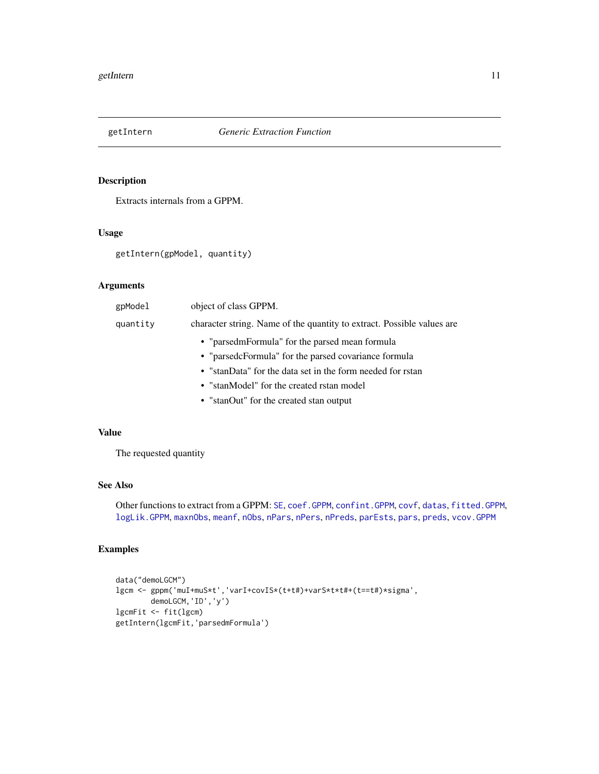<span id="page-10-1"></span><span id="page-10-0"></span>

Extracts internals from a GPPM.

#### Usage

```
getIntern(gpModel, quantity)
```
## Arguments

| gpModel  | object of class GPPM.                                                  |
|----------|------------------------------------------------------------------------|
| quantity | character string. Name of the quantity to extract. Possible values are |
|          | • "parsedmFormula" for the parsed mean formula                         |
|          | • "parsedcFormula" for the parsed covariance formula                   |
|          | • "stanData" for the data set in the form needed for rstan             |
|          | • "stanModel" for the created rstan model                              |
|          | • "stanOut" for the created stan output                                |

## Value

The requested quantity

#### See Also

Other functions to extract from a GPPM: [SE](#page-22-1), [coef.GPPM](#page-2-1), [confint.GPPM](#page-3-1), [covf](#page-4-1), [datas](#page-6-1), [fitted.GPPM](#page-9-1), [logLik.GPPM](#page-13-1), [maxnObs](#page-14-1), [meanf](#page-14-2), [nObs](#page-15-1), [nPars](#page-16-1), [nPers](#page-16-2), [nPreds](#page-17-1), [parEsts](#page-18-1), [pars](#page-18-2), [preds](#page-22-2), [vcov.GPPM](#page-26-1)

```
data("demoLGCM")
lgcm <- gppm('muI+muS*t','varI+covIS*(t+t#)+varS*t*t#+(t==t#)*sigma',
       demoLGCM,'ID','y')
lgcmFit <- fit(lgcm)
getIntern(lgcmFit,'parsedmFormula')
```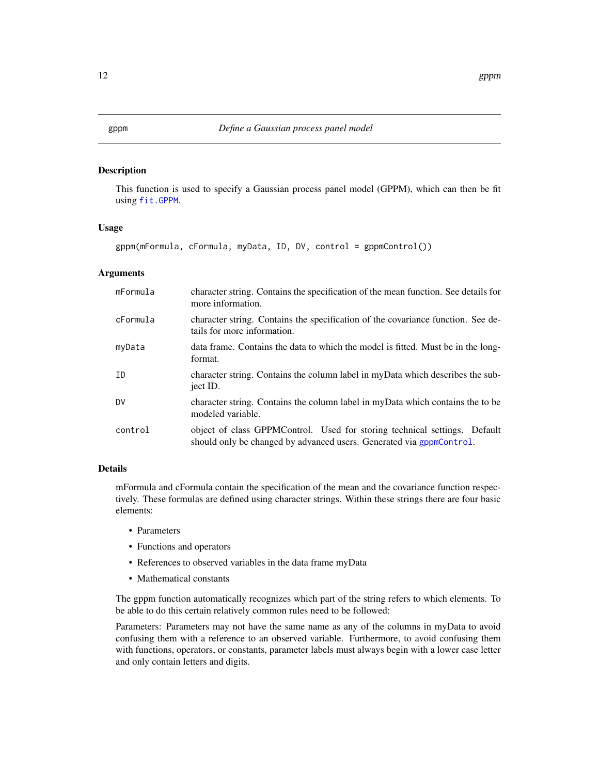<span id="page-11-1"></span><span id="page-11-0"></span>This function is used to specify a Gaussian process panel model (GPPM), which can then be fit using [fit.GPPM](#page-8-1).

#### Usage

gppm(mFormula, cFormula, myData, ID, DV, control = gppmControl())

## Arguments

| mFormula | character string. Contains the specification of the mean function. See details for<br>more information.                                           |
|----------|---------------------------------------------------------------------------------------------------------------------------------------------------|
| cFormula | character string. Contains the specification of the covariance function. See de-<br>tails for more information.                                   |
| myData   | data frame. Contains the data to which the model is fitted. Must be in the long-<br>format.                                                       |
| ID       | character string. Contains the column label in myData which describes the sub-<br>ject ID.                                                        |
| DV       | character string. Contains the column label in myData which contains the to be<br>modeled variable.                                               |
| control  | object of class GPPMControl. Used for storing technical settings. Default<br>should only be changed by advanced users. Generated via gppmControl. |

#### Details

mFormula and cFormula contain the specification of the mean and the covariance function respectively. These formulas are defined using character strings. Within these strings there are four basic elements:

- Parameters
- Functions and operators
- References to observed variables in the data frame myData
- Mathematical constants

The gppm function automatically recognizes which part of the string refers to which elements. To be able to do this certain relatively common rules need to be followed:

Parameters: Parameters may not have the same name as any of the columns in myData to avoid confusing them with a reference to an observed variable. Furthermore, to avoid confusing them with functions, operators, or constants, parameter labels must always begin with a lower case letter and only contain letters and digits.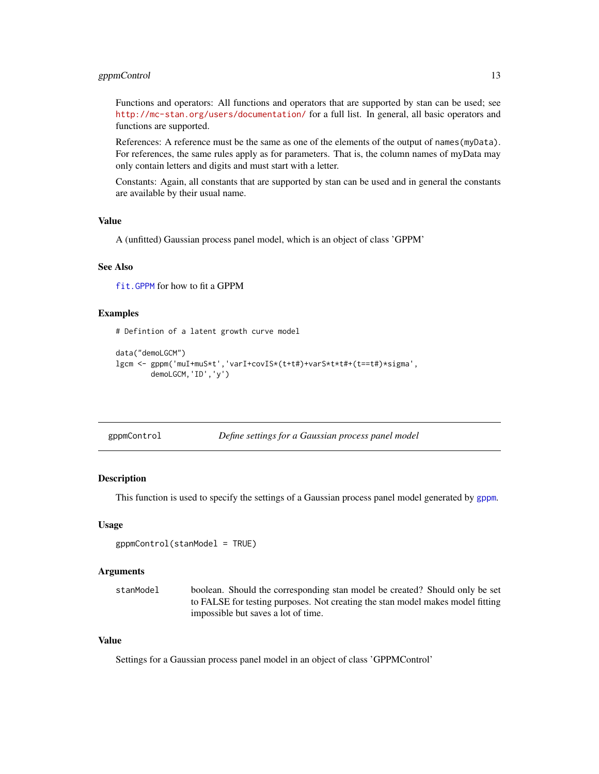## <span id="page-12-0"></span>gppmControl 13

Functions and operators: All functions and operators that are supported by stan can be used; see <http://mc-stan.org/users/documentation/> for a full list. In general, all basic operators and functions are supported.

References: A reference must be the same as one of the elements of the output of names(myData). For references, the same rules apply as for parameters. That is, the column names of myData may only contain letters and digits and must start with a letter.

Constants: Again, all constants that are supported by stan can be used and in general the constants are available by their usual name.

## Value

A (unfitted) Gaussian process panel model, which is an object of class 'GPPM'

#### See Also

[fit.GPPM](#page-8-1) for how to fit a GPPM

#### Examples

# Defintion of a latent growth curve model

```
data("demoLGCM")
lgcm <- gppm('muI+muS*t','varI+covIS*(t+t#)+varS*t*t#+(t==t#)*sigma',
        demoLGCM,'ID','y')
```
<span id="page-12-1"></span>

|  | gppmControl |
|--|-------------|
|--|-------------|

Define settings for a Gaussian process panel model

## Description

This function is used to specify the settings of a Gaussian process panel model generated by [gppm](#page-11-1).

#### Usage

```
gppmControl(stanModel = TRUE)
```
#### Arguments

stanModel boolean. Should the corresponding stan model be created? Should only be set to FALSE for testing purposes. Not creating the stan model makes model fitting impossible but saves a lot of time.

## Value

Settings for a Gaussian process panel model in an object of class 'GPPMControl'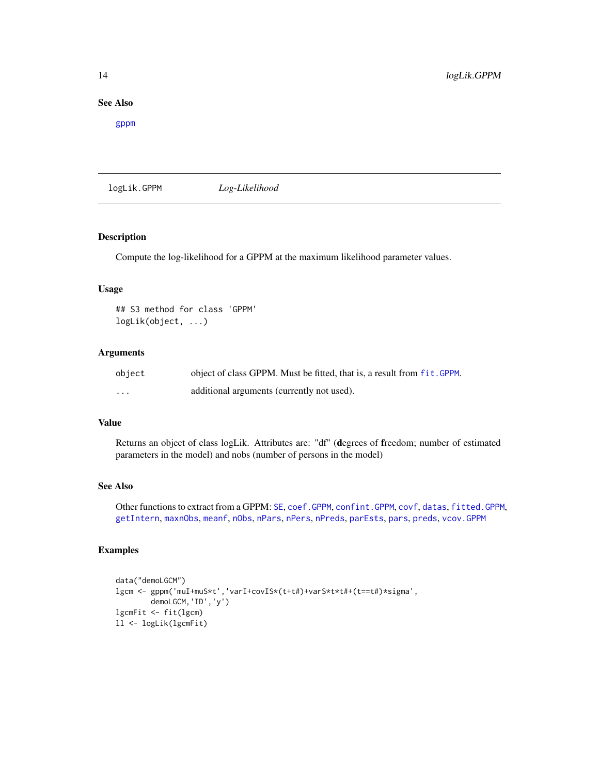## <span id="page-13-0"></span>See Also

[gppm](#page-11-1)

<span id="page-13-1"></span>logLik.GPPM *Log-Likelihood*

## Description

Compute the log-likelihood for a GPPM at the maximum likelihood parameter values.

## Usage

```
## S3 method for class 'GPPM'
logLik(object, ...)
```
#### Arguments

| object | object of class GPPM. Must be fitted, that is, a result from fit. GPPM. |
|--------|-------------------------------------------------------------------------|
| .      | additional arguments (currently not used).                              |

#### Value

Returns an object of class logLik. Attributes are: "df" (degrees of freedom; number of estimated parameters in the model) and nobs (number of persons in the model)

#### See Also

Other functions to extract from a GPPM: [SE](#page-22-1), [coef.GPPM](#page-2-1), [confint.GPPM](#page-3-1), [covf](#page-4-1), [datas](#page-6-1), [fitted.GPPM](#page-9-1), [getIntern](#page-10-1), [maxnObs](#page-14-1), [meanf](#page-14-2), [nObs](#page-15-1), [nPars](#page-16-1), [nPers](#page-16-2), [nPreds](#page-17-1), [parEsts](#page-18-1), [pars](#page-18-2), [preds](#page-22-2), [vcov.GPPM](#page-26-1)

```
data("demoLGCM")
lgcm <- gppm('muI+muS*t','varI+covIS*(t+t#)+varS*t*t#+(t==t#)*sigma',
       demoLGCM,'ID','y')
lgcmFit <- fit(lgcm)
ll <- logLik(lgcmFit)
```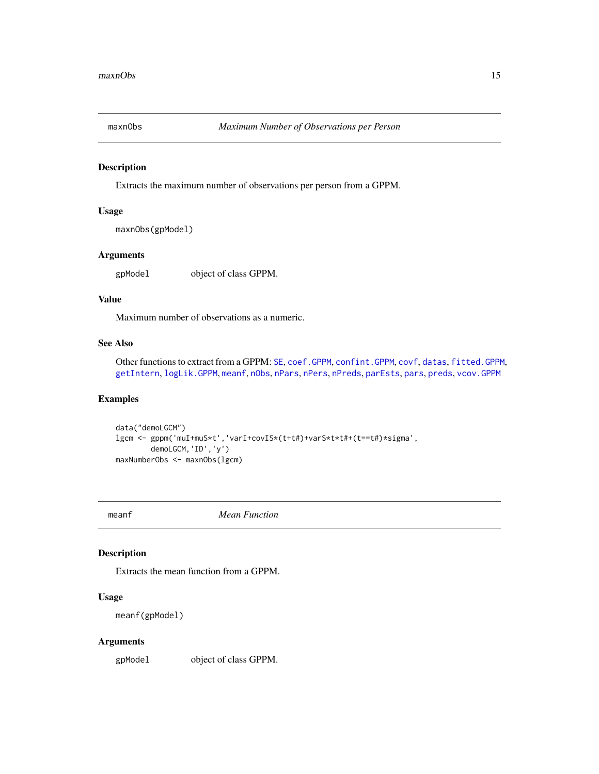<span id="page-14-1"></span><span id="page-14-0"></span>

Extracts the maximum number of observations per person from a GPPM.

#### Usage

```
maxnObs(gpModel)
```
## Arguments

gpModel object of class GPPM.

## Value

Maximum number of observations as a numeric.

## See Also

Other functions to extract from a GPPM: [SE](#page-22-1), [coef.GPPM](#page-2-1), [confint.GPPM](#page-3-1), [covf](#page-4-1), [datas](#page-6-1), [fitted.GPPM](#page-9-1), [getIntern](#page-10-1), [logLik.GPPM](#page-13-1), [meanf](#page-14-2), [nObs](#page-15-1), [nPars](#page-16-1), [nPers](#page-16-2), [nPreds](#page-17-1), [parEsts](#page-18-1), [pars](#page-18-2), [preds](#page-22-2), [vcov.GPPM](#page-26-1)

## Examples

```
data("demoLGCM")
lgcm <- gppm('muI+muS*t','varI+covIS*(t+t#)+varS*t*t#+(t==t#)*sigma',
        demoLGCM,'ID','y')
maxNumberObs <- maxnObs(lgcm)
```
<span id="page-14-2"></span>meanf *Mean Function*

## Description

Extracts the mean function from a GPPM.

## Usage

```
meanf(gpModel)
```
#### Arguments

gpModel object of class GPPM.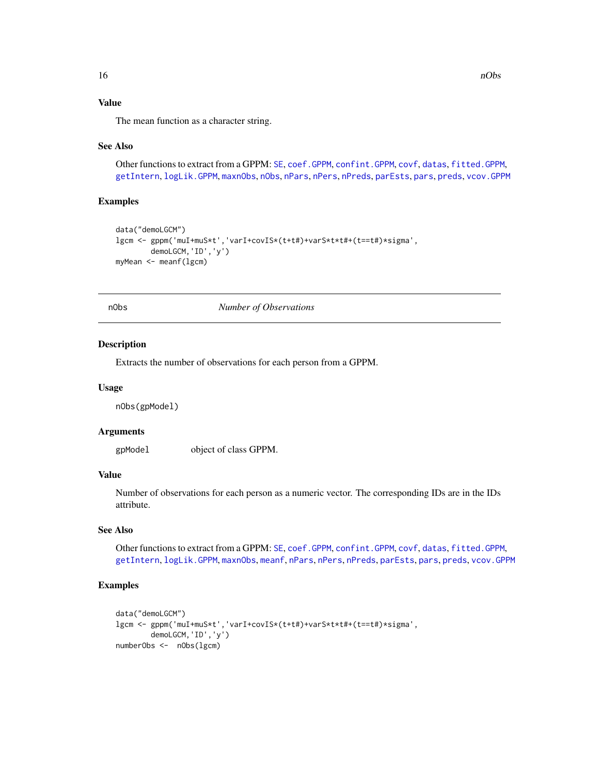## Value

The mean function as a character string.

#### See Also

Other functions to extract from a GPPM: [SE](#page-22-1), [coef.GPPM](#page-2-1), [confint.GPPM](#page-3-1), [covf](#page-4-1), [datas](#page-6-1), [fitted.GPPM](#page-9-1), [getIntern](#page-10-1), [logLik.GPPM](#page-13-1), [maxnObs](#page-14-1), [nObs](#page-15-1), [nPars](#page-16-1), [nPers](#page-16-2), [nPreds](#page-17-1), [parEsts](#page-18-1), [pars](#page-18-2), [preds](#page-22-2), [vcov.GPPM](#page-26-1)

## Examples

```
data("demoLGCM")
lgcm <- gppm('muI+muS*t','varI+covIS*(t+t#)+varS*t*t#+(t==t#)*sigma',
       demoLGCM,'ID','y')
myMean <- meanf(lgcm)
```
nObs *Number of Observations*

#### Description

Extracts the number of observations for each person from a GPPM.

#### Usage

nObs(gpModel)

## Arguments

gpModel object of class GPPM.

#### Value

Number of observations for each person as a numeric vector. The corresponding IDs are in the IDs attribute.

## See Also

Other functions to extract from a GPPM: [SE](#page-22-1), [coef.GPPM](#page-2-1), [confint.GPPM](#page-3-1), [covf](#page-4-1), [datas](#page-6-1), [fitted.GPPM](#page-9-1), [getIntern](#page-10-1), [logLik.GPPM](#page-13-1), [maxnObs](#page-14-1), [meanf](#page-14-2), [nPars](#page-16-1), [nPers](#page-16-2), [nPreds](#page-17-1), [parEsts](#page-18-1), [pars](#page-18-2), [preds](#page-22-2), [vcov.GPPM](#page-26-1)

```
data("demoLGCM")
lgcm <- gppm('muI+muS*t','varI+covIS*(t+t#)+varS*t*t#+(t==t#)*sigma',
       demoLGCM,'ID','y')
numberObs <- nObs(lgcm)
```
<span id="page-15-0"></span>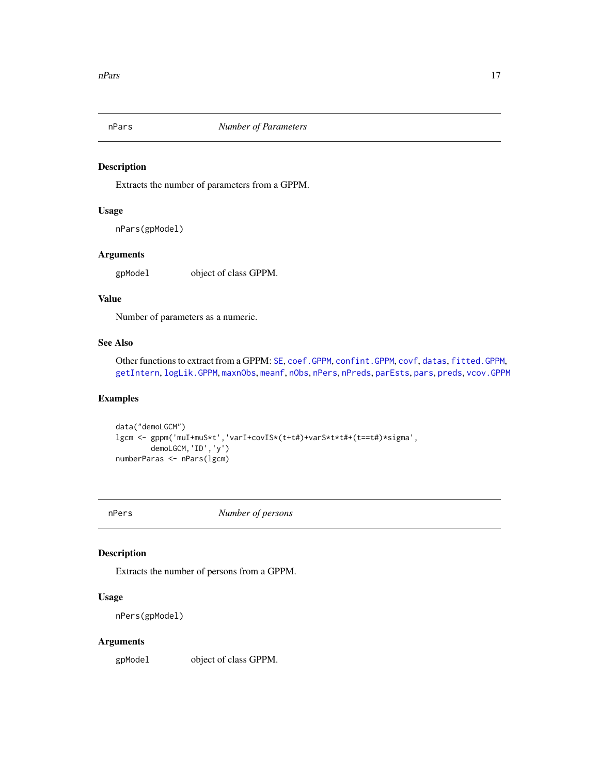<span id="page-16-1"></span><span id="page-16-0"></span>

Extracts the number of parameters from a GPPM.

#### Usage

nPars(gpModel)

## Arguments

gpModel object of class GPPM.

## Value

Number of parameters as a numeric.

#### See Also

Other functions to extract from a GPPM: [SE](#page-22-1), [coef.GPPM](#page-2-1), [confint.GPPM](#page-3-1), [covf](#page-4-1), [datas](#page-6-1), [fitted.GPPM](#page-9-1), [getIntern](#page-10-1), [logLik.GPPM](#page-13-1), [maxnObs](#page-14-1), [meanf](#page-14-2), [nObs](#page-15-1), [nPers](#page-16-2), [nPreds](#page-17-1), [parEsts](#page-18-1), [pars](#page-18-2), [preds](#page-22-2), [vcov.GPPM](#page-26-1)

## Examples

```
data("demoLGCM")
lgcm <- gppm('muI+muS*t','varI+covIS*(t+t#)+varS*t*t#+(t==t#)*sigma',
       demoLGCM,'ID','y')
numberParas <- nPars(lgcm)
```
<span id="page-16-2"></span>

nPers *Number of persons*

## Description

Extracts the number of persons from a GPPM.

## Usage

nPers(gpModel)

#### Arguments

gpModel object of class GPPM.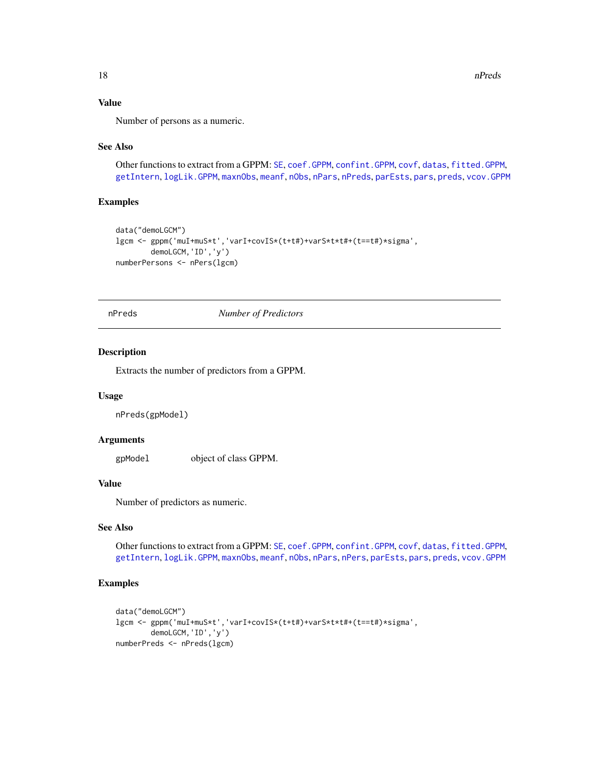## Value

Number of persons as a numeric.

#### See Also

Other functions to extract from a GPPM: [SE](#page-22-1), [coef.GPPM](#page-2-1), [confint.GPPM](#page-3-1), [covf](#page-4-1), [datas](#page-6-1), [fitted.GPPM](#page-9-1), [getIntern](#page-10-1), [logLik.GPPM](#page-13-1), [maxnObs](#page-14-1), [meanf](#page-14-2), [nObs](#page-15-1), [nPars](#page-16-1), [nPreds](#page-17-1), [parEsts](#page-18-1), [pars](#page-18-2), [preds](#page-22-2), [vcov.GPPM](#page-26-1)

## Examples

```
data("demoLGCM")
lgcm <- gppm('muI+muS*t','varI+covIS*(t+t#)+varS*t*t#+(t==t#)*sigma',
        demoLGCM,'ID','y')
numberPersons <- nPers(lgcm)
```
<span id="page-17-1"></span>nPreds *Number of Predictors*

#### Description

Extracts the number of predictors from a GPPM.

#### Usage

nPreds(gpModel)

## Arguments

gpModel object of class GPPM.

## Value

Number of predictors as numeric.

## See Also

Other functions to extract from a GPPM: [SE](#page-22-1), [coef.GPPM](#page-2-1), [confint.GPPM](#page-3-1), [covf](#page-4-1), [datas](#page-6-1), [fitted.GPPM](#page-9-1), [getIntern](#page-10-1), [logLik.GPPM](#page-13-1), [maxnObs](#page-14-1), [meanf](#page-14-2), [nObs](#page-15-1), [nPars](#page-16-1), [nPers](#page-16-2), [parEsts](#page-18-1), [pars](#page-18-2), [preds](#page-22-2), [vcov.GPPM](#page-26-1)

```
data("demoLGCM")
lgcm <- gppm('muI+muS*t','varI+covIS*(t+t#)+varS*t*t#+(t==t#)*sigma',
       demoLGCM,'ID','y')
numberPreds <- nPreds(lgcm)
```
<span id="page-17-0"></span>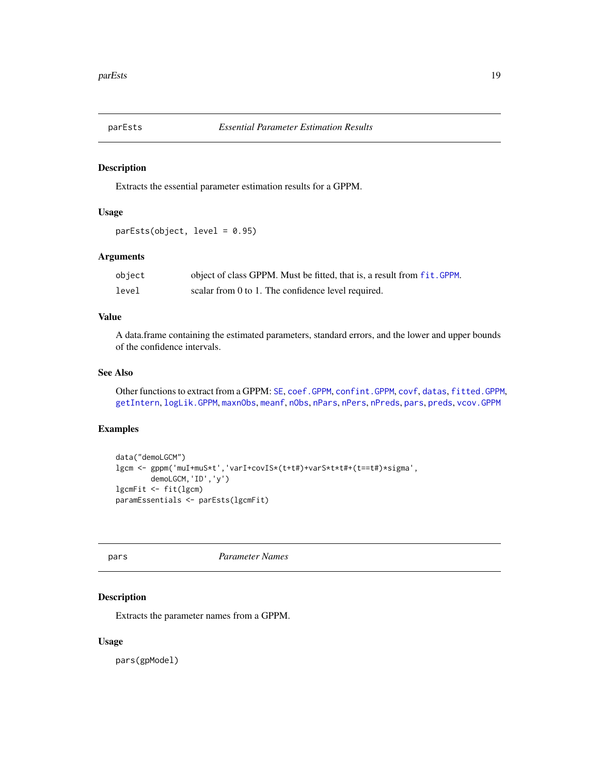<span id="page-18-1"></span><span id="page-18-0"></span>

Extracts the essential parameter estimation results for a GPPM.

#### Usage

parEsts(object, level = 0.95)

## Arguments

| object | object of class GPPM. Must be fitted, that is, a result from fit. GPPM. |
|--------|-------------------------------------------------------------------------|
| level  | scalar from 0 to 1. The confidence level required.                      |

## Value

A data.frame containing the estimated parameters, standard errors, and the lower and upper bounds of the confidence intervals.

#### See Also

Other functions to extract from a GPPM: [SE](#page-22-1), [coef.GPPM](#page-2-1), [confint.GPPM](#page-3-1), [covf](#page-4-1), [datas](#page-6-1), [fitted.GPPM](#page-9-1), [getIntern](#page-10-1), [logLik.GPPM](#page-13-1), [maxnObs](#page-14-1), [meanf](#page-14-2), [nObs](#page-15-1), [nPars](#page-16-1), [nPers](#page-16-2), [nPreds](#page-17-1), [pars](#page-18-2), [preds](#page-22-2), [vcov.GPPM](#page-26-1)

## Examples

```
data("demoLGCM")
lgcm <- gppm('muI+muS*t','varI+covIS*(t+t#)+varS*t*t#+(t==t#)*sigma',
       demoLGCM,'ID','y')
lgcmFit <- fit(lgcm)
paramEssentials <- parEsts(lgcmFit)
```
<span id="page-18-2"></span>pars *Parameter Names*

## Description

Extracts the parameter names from a GPPM.

#### Usage

pars(gpModel)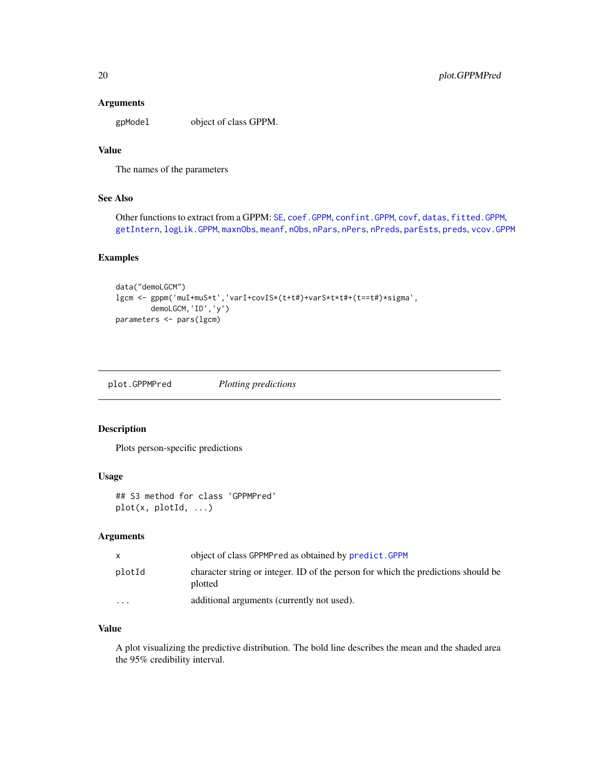## <span id="page-19-0"></span>Arguments

gpModel object of class GPPM.

## Value

The names of the parameters

## See Also

Other functions to extract from a GPPM: [SE](#page-22-1), [coef.GPPM](#page-2-1), [confint.GPPM](#page-3-1), [covf](#page-4-1), [datas](#page-6-1), [fitted.GPPM](#page-9-1), [getIntern](#page-10-1), [logLik.GPPM](#page-13-1), [maxnObs](#page-14-1), [meanf](#page-14-2), [nObs](#page-15-1), [nPars](#page-16-1), [nPers](#page-16-2), [nPreds](#page-17-1), [parEsts](#page-18-1), [preds](#page-22-2), [vcov.GPPM](#page-26-1)

## Examples

```
data("demoLGCM")
lgcm <- gppm('muI+muS*t','varI+covIS*(t+t#)+varS*t*t#+(t==t#)*sigma',
       demoLGCM,'ID','y')
parameters <- pars(lgcm)
```
plot.GPPMPred *Plotting predictions*

#### Description

Plots person-specific predictions

## Usage

```
## S3 method for class 'GPPMPred'
plot(x, plotId, ...)
```
#### Arguments

| X        | object of class GPPMPred as obtained by predict. GPPM                                        |
|----------|----------------------------------------------------------------------------------------------|
| plotId   | character string or integer. ID of the person for which the predictions should be<br>plotted |
| $\cdots$ | additional arguments (currently not used).                                                   |

## Value

A plot visualizing the predictive distribution. The bold line describes the mean and the shaded area the 95% credibility interval.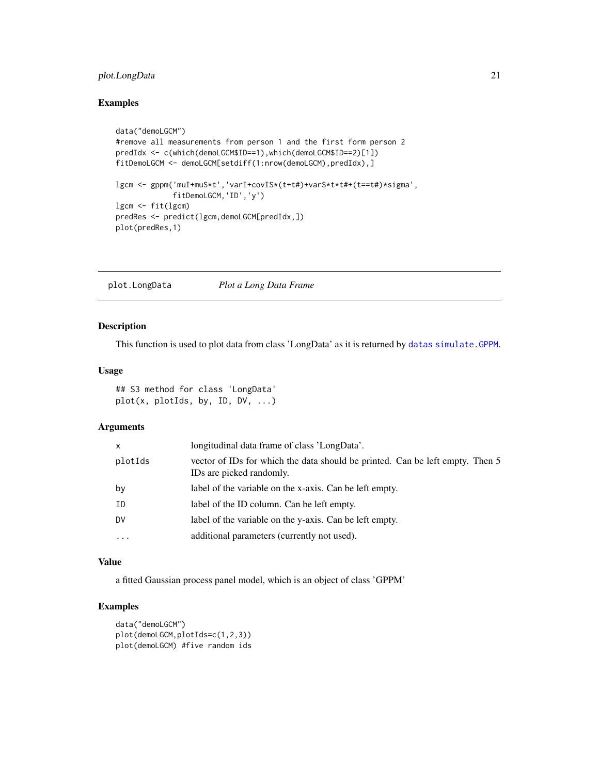## <span id="page-20-0"></span>plot.LongData 21

## Examples

```
data("demoLGCM")
#remove all measurements from person 1 and the first form person 2
predIdx <- c(which(demoLGCM$ID==1),which(demoLGCM$ID==2)[1])
fitDemoLGCM <- demoLGCM[setdiff(1:nrow(demoLGCM),predIdx),]
lgcm <- gppm('muI+muS*t','varI+covIS*(t+t#)+varS*t*t#+(t==t#)*sigma',
             fitDemoLGCM,'ID','y')
lgcm <- fit(lgcm)
predRes <- predict(lgcm,demoLGCM[predIdx,])
plot(predRes,1)
```
plot.LongData *Plot a Long Data Frame*

#### Description

This function is used to plot data from class 'LongData' as it is returned by [datas](#page-6-1) [simulate.GPPM](#page-23-1).

## Usage

## S3 method for class 'LongData' plot(x, plotIds, by, ID, DV, ...)

#### Arguments

| X        | longitudinal data frame of class 'LongData'.                                                              |
|----------|-----------------------------------------------------------------------------------------------------------|
| plotIds  | vector of IDs for which the data should be printed. Can be left empty. Then 5<br>IDs are picked randomly. |
| by       | label of the variable on the x-axis. Can be left empty.                                                   |
| ΙD       | label of the ID column. Can be left empty.                                                                |
| DV       | label of the variable on the y-axis. Can be left empty.                                                   |
| $\cdots$ | additional parameters (currently not used).                                                               |

#### Value

a fitted Gaussian process panel model, which is an object of class 'GPPM'

```
data("demoLGCM")
plot(demoLGCM,plotIds=c(1,2,3))
plot(demoLGCM) #five random ids
```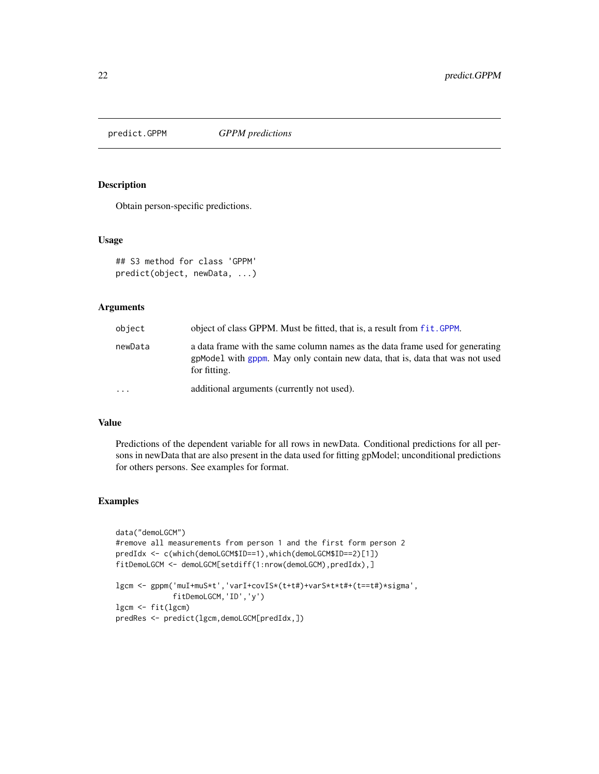<span id="page-21-1"></span><span id="page-21-0"></span>predict.GPPM *GPPM predictions*

#### Description

Obtain person-specific predictions.

#### Usage

```
## S3 method for class 'GPPM'
predict(object, newData, ...)
```
## Arguments

| object    | object of class GPPM. Must be fitted, that is, a result from fit. GPPM.                                                                                                        |
|-----------|--------------------------------------------------------------------------------------------------------------------------------------------------------------------------------|
| newData   | a data frame with the same column names as the data frame used for generating<br>gpModel with gppm. May only contain new data, that is, data that was not used<br>for fitting. |
| $\ddotsc$ | additional arguments (currently not used).                                                                                                                                     |

#### Value

Predictions of the dependent variable for all rows in newData. Conditional predictions for all persons in newData that are also present in the data used for fitting gpModel; unconditional predictions for others persons. See examples for format.

```
data("demoLGCM")
#remove all measurements from person 1 and the first form person 2
predIdx <- c(which(demoLGCM$ID==1),which(demoLGCM$ID==2)[1])
fitDemoLGCM <- demoLGCM[setdiff(1:nrow(demoLGCM),predIdx),]
lgcm <- gppm('muI+muS*t','varI+covIS*(t+t#)+varS*t*t#+(t==t#)*sigma',
            fitDemoLGCM,'ID','y')
lgcm <- fit(lgcm)
predRes <- predict(lgcm,demoLGCM[predIdx,])
```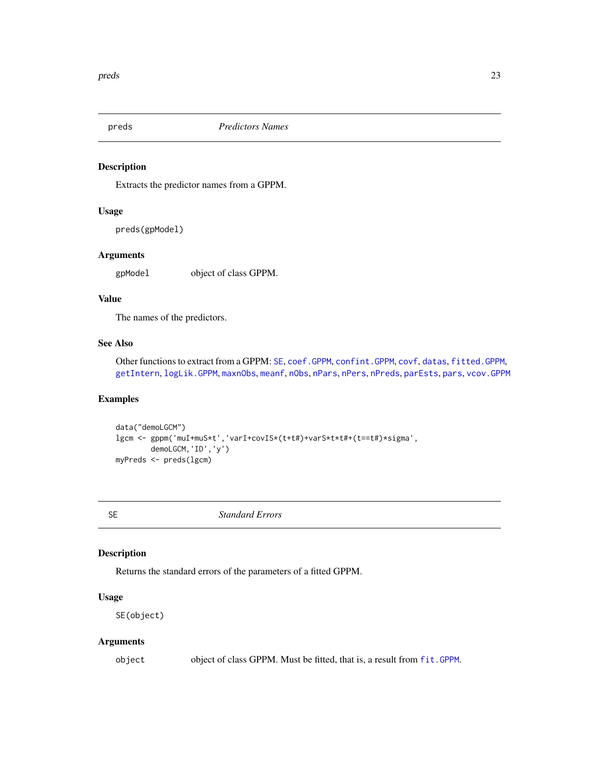<span id="page-22-2"></span><span id="page-22-0"></span>

Extracts the predictor names from a GPPM.

#### Usage

preds(gpModel)

## Arguments

gpModel object of class GPPM.

## Value

The names of the predictors.

## See Also

Other functions to extract from a GPPM: [SE](#page-22-1), [coef.GPPM](#page-2-1), [confint.GPPM](#page-3-1), [covf](#page-4-1), [datas](#page-6-1), [fitted.GPPM](#page-9-1), [getIntern](#page-10-1), [logLik.GPPM](#page-13-1), [maxnObs](#page-14-1), [meanf](#page-14-2), [nObs](#page-15-1), [nPars](#page-16-1), [nPers](#page-16-2), [nPreds](#page-17-1), [parEsts](#page-18-1), [pars](#page-18-2), [vcov.GPPM](#page-26-1)

#### Examples

```
data("demoLGCM")
lgcm <- gppm('muI+muS*t','varI+covIS*(t+t#)+varS*t*t#+(t==t#)*sigma',
        demoLGCM,'ID','y')
myPreds <- preds(lgcm)
```
<span id="page-22-1"></span>

SE *Standard Errors*

## Description

Returns the standard errors of the parameters of a fitted GPPM.

## Usage

SE(object)

#### Arguments

object object of class GPPM. Must be fitted, that is, a result from [fit.GPPM](#page-8-1).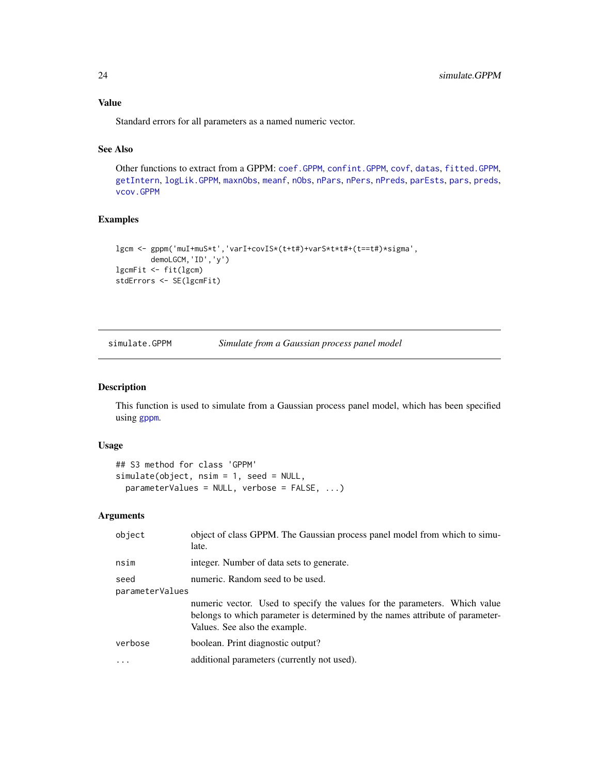## Value

Standard errors for all parameters as a named numeric vector.

#### See Also

Other functions to extract from a GPPM: [coef.GPPM](#page-2-1), [confint.GPPM](#page-3-1), [covf](#page-4-1), [datas](#page-6-1), [fitted.GPPM](#page-9-1), [getIntern](#page-10-1), [logLik.GPPM](#page-13-1), [maxnObs](#page-14-1), [meanf](#page-14-2), [nObs](#page-15-1), [nPars](#page-16-1), [nPers](#page-16-2), [nPreds](#page-17-1), [parEsts](#page-18-1), [pars](#page-18-2), [preds](#page-22-2), [vcov.GPPM](#page-26-1)

## Examples

```
lgcm <- gppm('muI+muS*t','varI+covIS*(t+t#)+varS*t*t#+(t==t#)*sigma',
       demoLGCM,'ID','y')
lgcmFit <- fit(lgcm)
stdErrors <- SE(lgcmFit)
```
<span id="page-23-1"></span>

| simulate.GPPM | Simulate from a Gaussian process panel model |  |
|---------------|----------------------------------------------|--|
|---------------|----------------------------------------------|--|

## Description

This function is used to simulate from a Gaussian process panel model, which has been specified using [gppm](#page-11-1).

## Usage

```
## S3 method for class 'GPPM'
simulate(object, nsim = 1, seed = NULL,
 parameterValues = NULL, verbose = FALSE, ...)
```
## Arguments

| object          | object of class GPPM. The Gaussian process panel model from which to simu-<br>late.                                                                                                          |
|-----------------|----------------------------------------------------------------------------------------------------------------------------------------------------------------------------------------------|
| nsim            | integer. Number of data sets to generate.                                                                                                                                                    |
| seed            | numeric. Random seed to be used.                                                                                                                                                             |
| parameterValues |                                                                                                                                                                                              |
|                 | numeric vector. Used to specify the values for the parameters. Which value<br>belongs to which parameter is determined by the names attribute of parameter-<br>Values. See also the example. |
| verbose         | boolean. Print diagnostic output?                                                                                                                                                            |
|                 | additional parameters (currently not used).                                                                                                                                                  |
|                 |                                                                                                                                                                                              |

<span id="page-23-0"></span>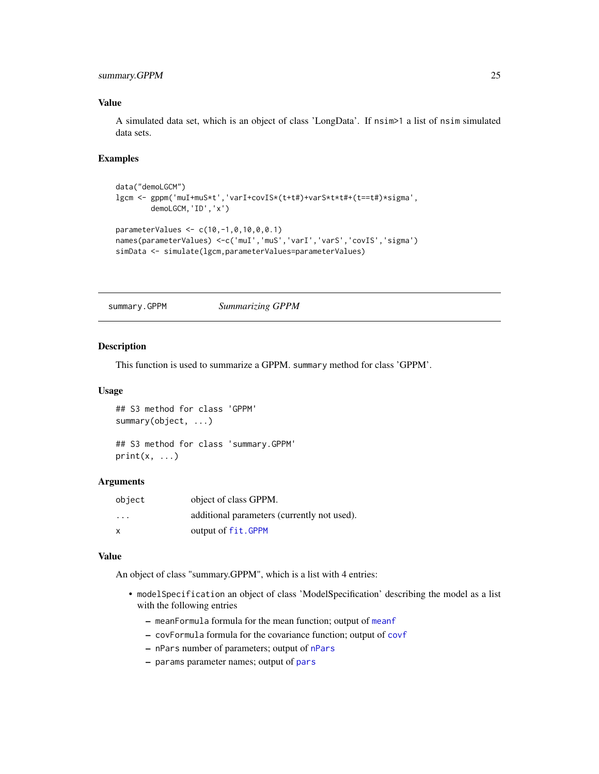## <span id="page-24-0"></span>summary.GPPM 25

#### Value

A simulated data set, which is an object of class 'LongData'. If nsim>1 a list of nsim simulated data sets.

#### Examples

```
data("demoLGCM")
lgcm <- gppm('muI+muS*t','varI+covIS*(t+t#)+varS*t*t#+(t==t#)*sigma',
       demoLGCM,'ID','x')
parameterValues <- c(10,-1,0,10,0,0.1)
names(parameterValues) <-c('muI','muS','varI','varS','covIS','sigma')
simData <- simulate(lgcm,parameterValues=parameterValues)
```
summary.GPPM *Summarizing GPPM*

#### Description

This function is used to summarize a GPPM. summary method for class 'GPPM'.

#### Usage

## S3 method for class 'GPPM' summary(object, ...) ## S3 method for class 'summary.GPPM'

 $print(x, \ldots)$ 

#### Arguments

| object                  | object of class GPPM.                       |
|-------------------------|---------------------------------------------|
| $\cdot$ $\cdot$ $\cdot$ | additional parameters (currently not used). |
| $\mathsf{x}$            | output of fit.GPPM                          |

#### Value

An object of class "summary.GPPM", which is a list with 4 entries:

- modelSpecification an object of class 'ModelSpecification' describing the model as a list with the following entries
	- meanFormula formula for the mean function; output of [meanf](#page-14-2)
	- covFormula formula for the covariance function; output of [covf](#page-4-1)
	- nPars number of parameters; output of [nPars](#page-16-1)
	- params parameter names; output of [pars](#page-18-2)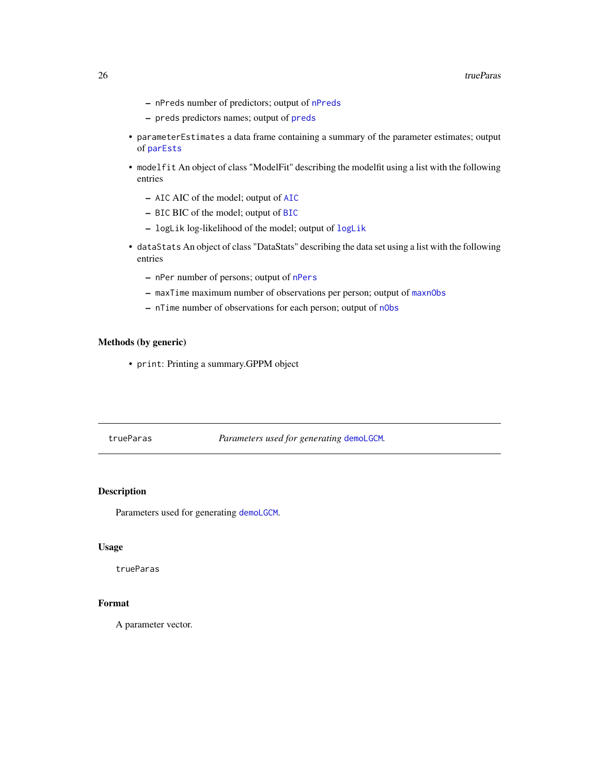- <span id="page-25-0"></span>– nPreds number of predictors; output of [nPreds](#page-17-1)
- preds predictors names; output of [preds](#page-22-2)
- parameterEstimates a data frame containing a summary of the parameter estimates; output of [parEsts](#page-18-1)
- modelfit An object of class "ModelFit" describing the modelfit using a list with the following entries
	- AIC AIC of the model; output of [AIC](#page-0-0)
	- BIC BIC of the model; output of [BIC](#page-0-0)
	- logLik log-likelihood of the model; output of [logLik](#page-0-0)
- dataStats An object of class "DataStats" describing the data set using a list with the following entries
	- nPer number of persons; output of [nPers](#page-16-2)
	- maxTime maximum number of observations per person; output of [maxnObs](#page-14-1)
	- nTime number of observations for each person; output of [nObs](#page-15-1)

#### Methods (by generic)

• print: Printing a summary.GPPM object

trueParas *Parameters used for generating* [demoLGCM](#page-7-1)*.*

## Description

Parameters used for generating [demoLGCM](#page-7-1).

## Usage

trueParas

## Format

A parameter vector.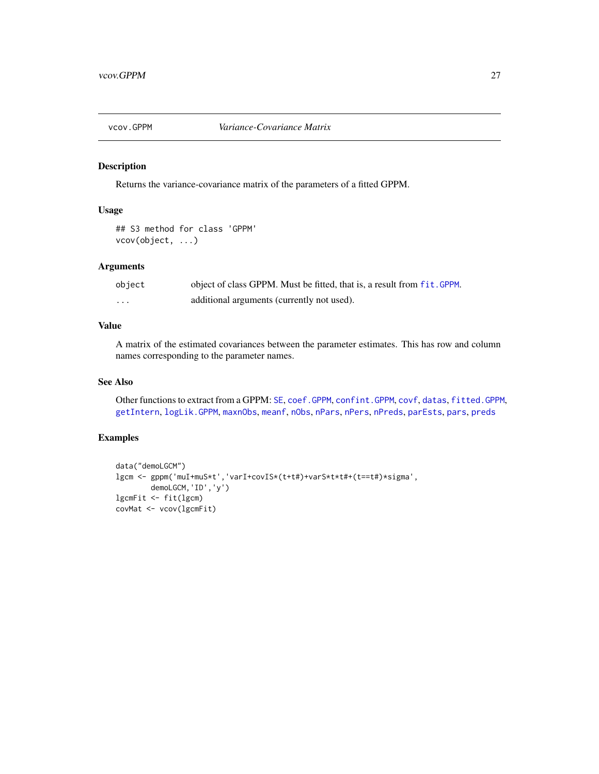<span id="page-26-1"></span><span id="page-26-0"></span>

Returns the variance-covariance matrix of the parameters of a fitted GPPM.

## Usage

## S3 method for class 'GPPM' vcov(object, ...)

## Arguments

| object | object of class GPPM. Must be fitted, that is, a result from fit. GPPM. |
|--------|-------------------------------------------------------------------------|
| .      | additional arguments (currently not used).                              |

## Value

A matrix of the estimated covariances between the parameter estimates. This has row and column names corresponding to the parameter names.

## See Also

Other functions to extract from a GPPM: [SE](#page-22-1), [coef.GPPM](#page-2-1), [confint.GPPM](#page-3-1), [covf](#page-4-1), [datas](#page-6-1), [fitted.GPPM](#page-9-1), [getIntern](#page-10-1), [logLik.GPPM](#page-13-1), [maxnObs](#page-14-1), [meanf](#page-14-2), [nObs](#page-15-1), [nPars](#page-16-1), [nPers](#page-16-2), [nPreds](#page-17-1), [parEsts](#page-18-1), [pars](#page-18-2), [preds](#page-22-2)

```
data("demoLGCM")
lgcm <- gppm('muI+muS*t','varI+covIS*(t+t#)+varS*t*t#+(t==t#)*sigma',
       demoLGCM,'ID','y')
lgcmFit <- fit(lgcm)
covMat <- vcov(lgcmFit)
```